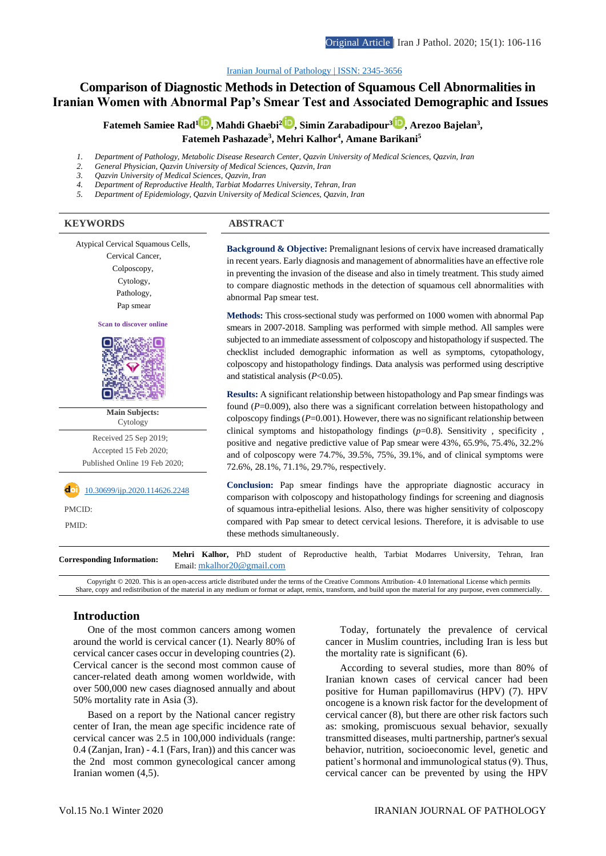# **Comparison of Diagnostic Methods in Detection of Squamous Cell Abnormalities in Iranian Women with Abnormal Pap's Smear Test and Associated Demographic and Issues**

**Fatemeh Samiee Rad[1](http://orcid.org/0000-0001-6091-4347) , Mahdi Ghaebi<sup>2</sup> [,](http://orcid.org/0000-0001-7136-3886) Simin Zarabadipour<sup>3</sup> [,](http://orcid.org/0000-0003-3486-3149) Arezoo Bajelan<sup>3</sup> , Fatemeh Pashazade<sup>3</sup> , Mehri Kalhor<sup>4</sup> , Amane Barikani<sup>5</sup>**

- *1. Department of Pathology, Metabolic Disease Research Center, Qazvin University of Medical Sciences, Qazvin, Iran*
- *2. General Physician, Qazvin University of Medical Sciences, Qazvin, Iran*
- *3. Qazvin University of Medical Sciences, Qazvin, Iran*
- *4. Department of Reproductive Health, Tarbiat Modarres University, Tehran, Iran 5. Department of Epidemiology, Qazvin University of Medical Sciences, Qazvin, Iran*

#### **KEYWORDS ABSTRACT**

Atypical Cervical Squamous Cells,

Cervical Cancer, Colposcopy, Cytology,

- Pathology,
- Pap smear

**Scan to discover online**



**Main Subjects:**  Cytology

Received 25 Sep 2019; Accepted 15 Feb 2020; Published Online 19 Feb 2020;

[10.30699/ijp.2020.114626.2248](http://dx.doi.org/10.30699/ijp.2020.114626.2248)

PMCID: Î

PMID:

**Background & Objective:** Premalignant lesions of cervix have increased dramatically in recent years. Early diagnosis and management of abnormalities have an effective role in preventing the invasion of the disease and also in timely treatment. This study aimed to compare diagnostic methods in the detection of squamous cell abnormalities with abnormal Pap smear test.

**Methods:** This cross-sectional study was performed on 1000 women with abnormal Pap smears in 2007-2018. Sampling was performed with simple method. All samples were subjected to an immediate assessment of colposcopy and histopathology if suspected. The checklist included demographic information as well as symptoms, cytopathology, colposcopy and histopathology findings. Data analysis was performed using descriptive and statistical analysis (*P*<0.05).

**Results:** A significant relationship between histopathology and Pap smear findings was found (*P*=0.009), also there was a significant correlation between histopathology and colposcopy findings  $(P=0.001)$ . However, there was no significant relationship between clinical symptoms and histopathology findings (*p*=0.8). Sensitivity , specificity , positive and negative predictive value of Pap smear were 43%, 65.9%, 75.4%, 32.2% and of colposcopy were 74.7%, 39.5%, 75%, 39.1%, and of clinical symptoms were 72.6%, 28.1%, 71.1%, 29.7%, respectively.

**Conclusion:** Pap smear findings have the appropriate diagnostic accuracy in comparison with colposcopy and histopathology findings for screening and diagnosis of squamous intra-epithelial lesions. Also, there was higher sensitivity of colposcopy compared with Pap smear to detect cervical lesions. Therefore, it is advisable to use these methods simultaneously.

**Corresponding Information: Mehri Kalhor,** PhD student of Reproductive health, Tarbiat Modarres University, Tehran, Iran Email: [mkalhor20@gmail.com](mailto:mkalhor20@gmail.com)

Copyright © 2020. This is an open-access article distributed under the terms of the Creative Commons Attribution- 4.0 International License which permits Share, copy and redistribution of the material in any medium or format or adapt, remix, transform, and build upon the material for any purpose, even commercially.

#### **Introduction**

One of the most common cancers among women around the world is cervical cancer (1). Nearly 80% of cervical cancer cases occur in developing countries (2). Cervical cancer is the second most common cause of cancer-related death among women worldwide, with over 500,000 new cases diagnosed annually and about 50% mortality rate in Asia (3).

Based on a report by the National cancer registry center of Iran, the mean age specific incidence rate of cervical cancer was 2.5 in 100,000 individuals (range: 0.4 (Zanjan, Iran) - 4.1 (Fars, Iran)) and this cancer was the 2nd most common gynecological cancer among Iranian women (4,5).

Today, fortunately the prevalence of cervical cancer in Muslim countries, including Iran is less but the mortality rate is significant (6).

According to several studies, more than 80% of Iranian known cases of cervical cancer had been positive for Human papillomavirus (HPV) (7). HPV oncogene is a known risk factor for the development of cervical cancer (8), but there are other risk factors such as: smoking, promiscuous sexual behavior, sexually transmitted diseases, multi partnership, partner's sexual behavior, nutrition, socioeconomic level, genetic and patient's hormonal and immunological status (9). Thus, cervical cancer can be prevented by using the HPV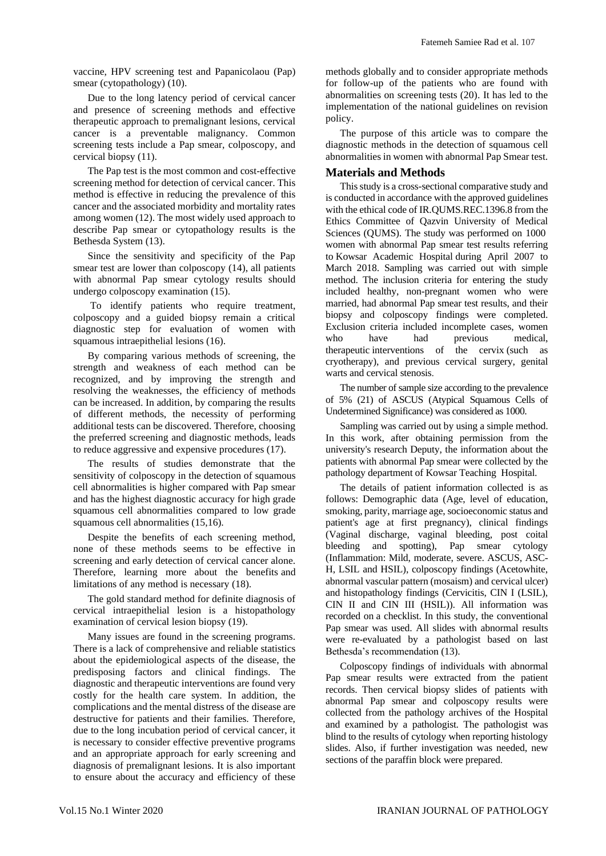vaccine, HPV screening test and Papanicolaou (Pap) smear (cytopathology) (10).

Due to the long latency period of cervical cancer and presence of screening methods and effective therapeutic approach to premalignant lesions, cervical cancer is a preventable malignancy. Common screening tests include a Pap smear, colposcopy, and cervical biopsy (11).

The Pap test is the most common and cost-effective screening method for detection of cervical cancer. This method is effective in reducing the prevalence of this cancer and the associated morbidity and mortality rates among women (12). The most widely used approach to describe Pap smear or cytopathology results is the Bethesda System (13).

Since the sensitivity and specificity of the Pap smear test are lower than colposcopy (14), all patients with abnormal Pap smear cytology results should undergo colposcopy examination (15).

To identify patients who require treatment, colposcopy and a guided biopsy remain a critical diagnostic step for evaluation of women with squamous intraepithelial lesions (16).

By comparing various methods of screening, the strength and weakness of each method can be recognized, and by improving the strength and resolving the weaknesses, the efficiency of methods can be increased. In addition, by comparing the results of different methods, the necessity of performing additional tests can be discovered. Therefore, choosing the preferred screening and diagnostic methods, leads to reduce aggressive and expensive procedures (17).

The results of studies demonstrate that the sensitivity of colposcopy in the detection of squamous cell abnormalities is higher compared with Pap smear and has the highest diagnostic accuracy for high grade squamous cell abnormalities compared to low grade squamous cell abnormalities (15,16).

Despite the benefits of each screening method, none of these methods seems to be effective in screening and early detection of cervical cancer alone. Therefore, learning more about the benefits and limitations of any method is necessary (18).

The gold standard method for definite diagnosis of cervical intraepithelial lesion is a histopathology examination of cervical lesion biopsy (19).

Many issues are found in the screening programs. There is a lack of comprehensive and reliable statistics about the epidemiological aspects of the disease, the predisposing factors and clinical findings. The diagnostic and therapeutic interventions are found very costly for the health care system. In addition, the complications and the mental distress of the disease are destructive for patients and their families. Therefore, due to the long incubation period of cervical cancer, it is necessary to consider effective preventive programs and an appropriate approach for early screening and diagnosis of premalignant lesions. It is also important to ensure about the accuracy and efficiency of these

methods globally and to consider appropriate methods for follow-up of the patients who are found with abnormalities on screening tests (20). It has led to the implementation of the national guidelines on revision policy.

The purpose of this article was to compare the diagnostic methods in the detection of squamous cell abnormalities in women with abnormal Pap Smear test.

## **Materials and Methods**

This study is a cross-sectional comparative study and is conducted in accordance with the approved guidelines with the ethical code of IR.QUMS.REC.1396.8 from the Ethics Committee of Qazvin University of Medical Sciences (QUMS). The study was performed on 1000 women with abnormal Pap smear test results referring to Kowsar Academic Hospital during April 2007 to March 2018. Sampling was carried out with simple method. The inclusion criteria for entering the study included healthy, non-pregnant women who were married, had abnormal Pap smear test results, and their biopsy and colposcopy findings were completed. Exclusion criteria included incomplete cases, women who have had previous medical, therapeutic interventions of the cervix (such as cryotherapy), and previous cervical surgery, genital warts and cervical stenosis.

The number of sample size according to the prevalence of 5% (21) of ASCUS (Atypical Squamous Cells of Undetermined Significance) was considered as 1000.

Sampling was carried out by using a simple method. In this work, after obtaining permission from the university's research Deputy, the information about the patients with abnormal Pap smear were collected by the pathology department of Kowsar Teaching Hospital.

The details of patient information collected is as follows: Demographic data (Age, level of education, smoking, parity, marriage age, socioeconomic status and patient's age at first pregnancy), clinical findings (Vaginal discharge, vaginal bleeding, post coital bleeding and spotting), Pap smear cytology (Inflammation: Mild, moderate, severe. ASCUS, ASC-H, LSIL and HSIL), colposcopy findings (Acetowhite, abnormal vascular pattern (mosaism) and cervical ulcer) and histopathology findings (Cervicitis, CIN I (LSIL), CIN II and CIN III (HSIL)). All information was recorded on a checklist. In this study, the conventional Pap smear was used. All slides with abnormal results were re-evaluated by a pathologist based on last Bethesda's recommendation (13).

Colposcopy findings of individuals with abnormal Pap smear results were extracted from the patient records. Then cervical biopsy slides of patients with abnormal Pap smear and colposcopy results were collected from the pathology archives of the Hospital and examined by a pathologist. The pathologist was blind to the results of cytology when reporting histology slides. Also, if further investigation was needed, new sections of the paraffin block were prepared.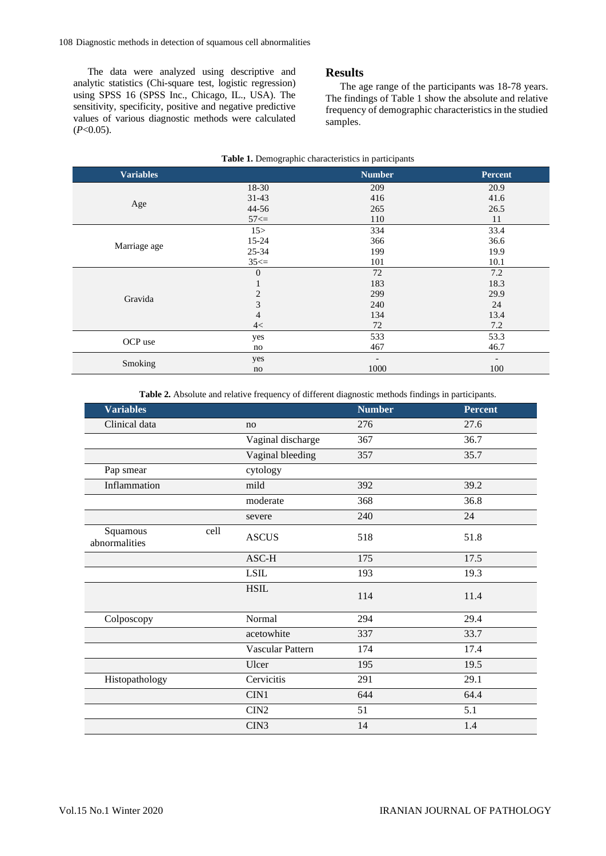The data were analyzed using descriptive and analytic statistics (Chi-square test, logistic regression) using SPSS 16 (SPSS Inc., Chicago, IL., USA). The sensitivity, specificity, positive and negative predictive values of various diagnostic methods were calculated (*P*<0.05).

### **Results**

The age range of the participants was 18-78 years. The findings of Table 1 show the absolute and relative frequency of demographic characteristics in the studied samples.

| Table 1. Demographic characteristics in participants |                |                          |                          |  |  |  |  |  |
|------------------------------------------------------|----------------|--------------------------|--------------------------|--|--|--|--|--|
| <b>Variables</b>                                     |                | <b>Number</b>            | <b>Percent</b>           |  |  |  |  |  |
|                                                      | 18-30          | 209                      | 20.9                     |  |  |  |  |  |
| Age                                                  | $31-43$        | 416                      | 41.6                     |  |  |  |  |  |
|                                                      | 44-56          | 265                      | 26.5                     |  |  |  |  |  |
|                                                      | $57 \leq z$    | 110                      | 11                       |  |  |  |  |  |
|                                                      | 15 >           | 334                      | 33.4                     |  |  |  |  |  |
| Marriage age                                         | 15-24          | 366                      | 36.6                     |  |  |  |  |  |
|                                                      | 25-34          | 199                      | 19.9                     |  |  |  |  |  |
|                                                      | $35 \leq $     | 101                      | 10.1                     |  |  |  |  |  |
|                                                      | $\theta$       | 72                       | 7.2                      |  |  |  |  |  |
|                                                      |                | 183                      | 18.3                     |  |  |  |  |  |
| Gravida                                              | 2              | 299                      | 29.9                     |  |  |  |  |  |
|                                                      | $\mathfrak{Z}$ | 240                      | 24                       |  |  |  |  |  |
|                                                      | $\overline{4}$ | 134                      | 13.4                     |  |  |  |  |  |
|                                                      | 4<             | 72                       | 7.2                      |  |  |  |  |  |
| OCP use                                              | yes            | 533                      | 53.3                     |  |  |  |  |  |
|                                                      | no             | 467                      | 46.7                     |  |  |  |  |  |
|                                                      | yes            | $\overline{\phantom{a}}$ | $\overline{\phantom{a}}$ |  |  |  |  |  |
| Smoking                                              | no             | 1000                     | 100                      |  |  |  |  |  |

**Table 2.** Absolute and relative frequency of different diagnostic methods findings in participants.

| <b>Variables</b>          |      |                   | <b>Number</b> | <b>Percent</b> |  |
|---------------------------|------|-------------------|---------------|----------------|--|
| Clinical data             |      | no                | 276           | 27.6           |  |
|                           |      | Vaginal discharge | 367           | 36.7           |  |
|                           |      | Vaginal bleeding  | 357           | 35.7           |  |
| Pap smear                 |      | cytology          |               |                |  |
| Inflammation              |      | mild              | 392           | 39.2           |  |
|                           |      | moderate          | 368           | 36.8           |  |
|                           |      | severe            | 240           | 24             |  |
| Squamous<br>abnormalities | cell | <b>ASCUS</b>      | 518           | 51.8           |  |
|                           |      | ASC-H             | 175           | 17.5           |  |
|                           |      | <b>LSIL</b>       | 193           | 19.3           |  |
|                           |      | <b>HSIL</b>       | 114           | 11.4           |  |
| Colposcopy                |      | Normal            | 294           | 29.4           |  |
|                           |      | acetowhite        | 337           | 33.7           |  |
|                           |      | Vascular Pattern  | 174           | 17.4           |  |
|                           |      | Ulcer             | 195           | 19.5           |  |
| Histopathology            |      | Cervicitis        | 291           | 29.1           |  |
|                           |      | CIN1              | 644           | 64.4           |  |
|                           |      | CIN2              | 51            | 5.1            |  |
|                           |      | CIN <sub>3</sub>  | 14            | 1.4            |  |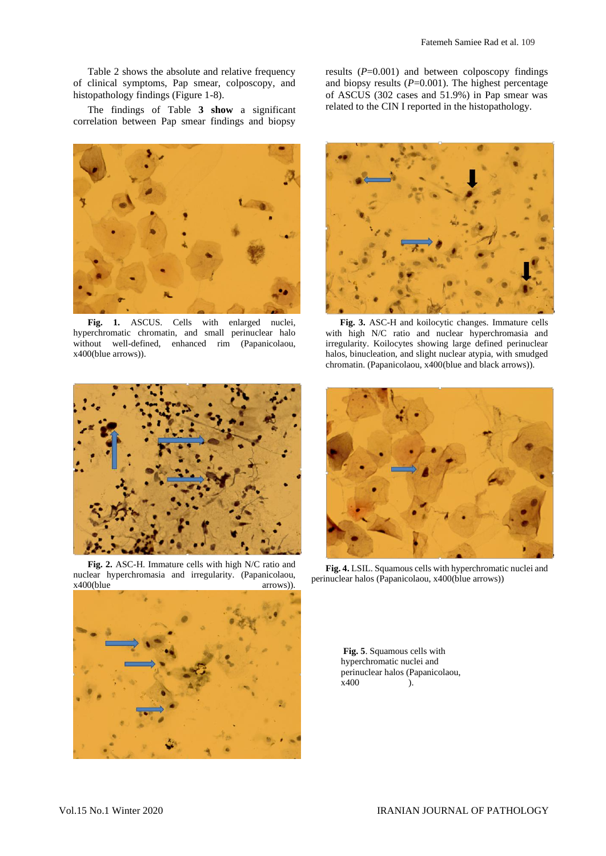Table 2 shows the absolute and relative frequency of clinical symptoms, Pap smear, colposcopy, and histopathology findings (Figure 1-8).

The findings of Table **3 show** a significant correlation between Pap smear findings and biopsy



Fig. 1. ASCUS. Cells with enlarged nuclei, hyperchromatic chromatin, and small perinuclear halo without well-defined, enhanced rim (Papanicolaou, x400(blue arrows)).

results  $(P=0.001)$  and between colposcopy findings and biopsy results  $(P=0.001)$ . The highest percentage of ASCUS (302 cases and 51.9%) in Pap smear was related to the CIN I reported in the histopathology.



**Fig. 3.** ASC-H and koilocytic changes. Immature cells with high N/C ratio and nuclear hyperchromasia and irregularity. Koilocytes showing large defined perinuclear halos, binucleation, and slight nuclear atypia, with smudged chromatin. (Papanicolaou, x400(blue and black arrows)).



**Fig. 2.** ASC-H. Immature cells with high N/C ratio and nuclear hyperchromasia and irregularity. (Papanicolaou,  $x400(b)$ lue arrows)).





**Fig. 4.** LSIL. Squamous cells with hyperchromatic nuclei and perinuclear halos (Papanicolaou, x400(blue arrows))

**Fig. 5**. Squamous cells with hyperchromatic nuclei and perinuclear halos (Papanicolaou,  $x400$  ).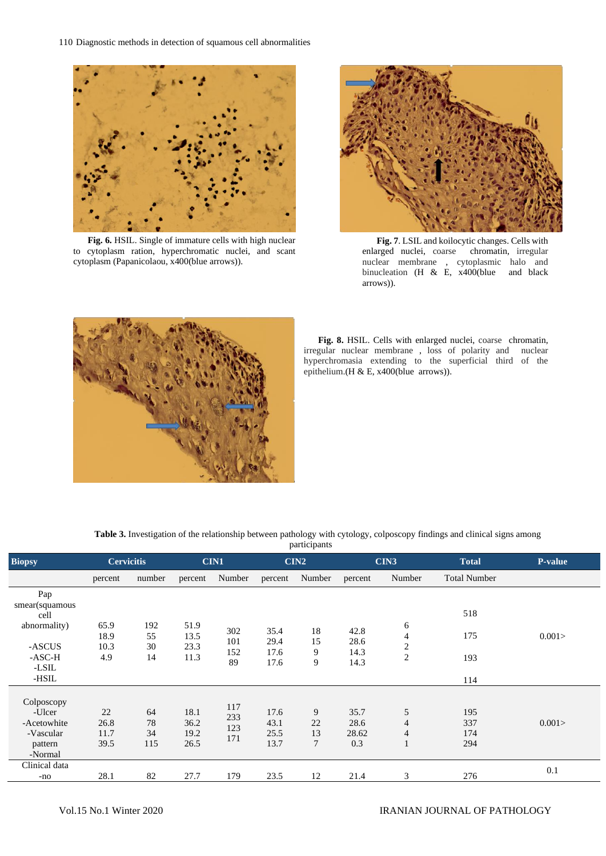110 Diagnostic methods in detection of squamous cell abnormalities



**Fig. 6.** HSIL. Single of immature cells with high nuclear to cytoplasm ration, hyperchromatic nuclei, and scant cytoplasm (Papanicolaou, x400(blue arrows)).



**Fig. 7**. LSIL and koilocytic changes. Cells with arged nuclei, coarse chromatin, irregular enlarged nuclei, coarse nuclear membrane , cytoplasmic halo and binucleation (H & E, x400(blue and black arrows)).



**Fig. 8.** HSIL. Cells with enlarged nuclei, coarse chromatin, irregular nuclear membrane , loss of polarity and nuclear hyperchromasia extending to the superficial third of the epithelium.(H & E, x400(blue arrows)).

**Table 3.** Investigation of the relationship between pathology with cytology, colposcopy findings and clinical signs among

| participants                  |                      |                 |                      |            |              |          |              |                     |                     |                |
|-------------------------------|----------------------|-----------------|----------------------|------------|--------------|----------|--------------|---------------------|---------------------|----------------|
| <b>Biopsy</b>                 | <b>Cervicitis</b>    |                 |                      | CIN1       |              | CIN2     |              | CIN3                | <b>Total</b>        | <b>P-value</b> |
|                               | percent              | number          | percent              | Number     | percent      | Number   | percent      | Number              | <b>Total Number</b> |                |
| Pap<br>smear(squamous<br>cell |                      |                 |                      |            |              |          |              |                     | 518                 |                |
| abnormality)<br>-ASCUS        | 65.9<br>18.9<br>10.3 | 192<br>55<br>30 | 51.9<br>13.5<br>23.3 | 302<br>101 | 35.4<br>29.4 | 18<br>15 | 42.8<br>28.6 | 6<br>$\overline{4}$ | 175                 | 0.001          |
| $-ASC-H$<br>-LSIL             | 4.9                  | 14              | 11.3                 | 152<br>89  | 17.6<br>17.6 | 9<br>9   | 14.3<br>14.3 | $\frac{2}{2}$       | 193                 |                |
| -HSIL                         |                      |                 |                      |            |              |          |              |                     | 114                 |                |
| Colposcopy                    |                      |                 |                      | 117        |              |          |              |                     |                     |                |
| -Ulcer<br>-Acetowhite         | 22<br>26.8           | 64<br>78        | 18.1<br>36.2         | 233        | 17.6<br>43.1 | 9<br>22  | 35.7<br>28.6 | 5<br>4              | 195<br>337          | 0.001>         |
| -Vascular                     | 11.7                 | 34              | 19.2                 | 123<br>171 | 25.5         | 13       | 28.62        | 4                   | 174                 |                |
| pattern<br>-Normal            | 39.5                 | 115             | 26.5                 |            | 13.7         | 7        | 0.3          | 1                   | 294                 |                |
| Clinical data                 | 28.1                 | 82              | 27.7                 | 179        | 23.5         | 12       | 21.4         | 3                   | 276                 | 0.1            |
| -no                           |                      |                 |                      |            |              |          |              |                     |                     |                |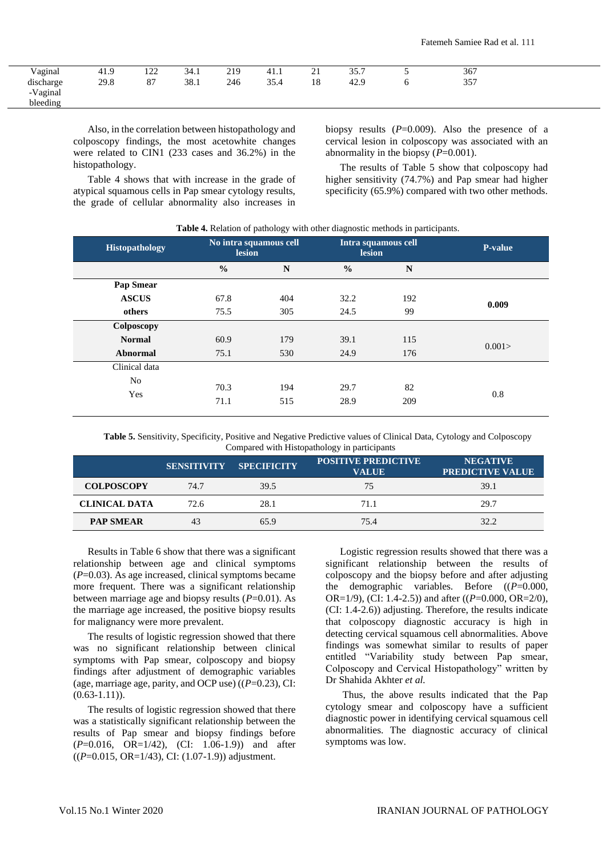| $\sim$ $\sim$<br>Vagınal   | 1 Q<br>41.5 | $1 \cap \cap$<br>1/2 | 34.1 | 219 | 41.1 | $\sim$<br>$\sim$ 1 | 35.7 | 367 |  |
|----------------------------|-------------|----------------------|------|-----|------|--------------------|------|-----|--|
| $\cdots$<br>discharge<br>c | 29.8        | 87                   | 38.1 | 246 | 35.4 | 18                 | 42.9 | 357 |  |
| -Vaginal                   |             |                      |      |     |      |                    |      |     |  |
| bleeding                   |             |                      |      |     |      |                    |      |     |  |

Also, in the correlation between histopathology and colposcopy findings, the most acetowhite changes were related to CIN1 (233 cases and 36.2%) in the histopathology.

Table 4 shows that with increase in the grade of atypical squamous cells in Pap smear cytology results, the grade of cellular abnormality also increases in

biopsy results (P=0.009). Also the presence of a cervical lesion in colposcopy was associated with an abnormality in the biopsy (*P*=0.001).

The results of Table 5 show that colposcopy had higher sensitivity (74.7%) and Pap smear had higher specificity (65.9%) compared with two other methods.

|  |  |  |  | Table 4. Relation of pathology with other diagnostic methods in participants. |
|--|--|--|--|-------------------------------------------------------------------------------|
|--|--|--|--|-------------------------------------------------------------------------------|

| <b>Histopathology</b> | No intra squamous cell<br><b>lesion</b> |            | lesion        | Intra squamous cell | <b>P-value</b> |
|-----------------------|-----------------------------------------|------------|---------------|---------------------|----------------|
|                       | $\frac{0}{0}$                           | N          | $\frac{0}{0}$ | N                   |                |
| Pap Smear             |                                         |            |               |                     |                |
| <b>ASCUS</b>          | 67.8                                    | 404        | 32.2          | 192                 | 0.009          |
| others                | 75.5                                    | 305        | 24.5          | 99                  |                |
| Colposcopy            |                                         |            |               |                     |                |
| <b>Normal</b>         | 60.9                                    | 179        | 39.1          | 115                 | 0.001          |
| Abnormal              | 75.1                                    | 530        | 24.9          | 176                 |                |
| Clinical data         |                                         |            |               |                     |                |
| No<br>Yes             | 70.3<br>71.1                            | 194<br>515 | 29.7<br>28.9  | 82<br>209           | 0.8            |

**Table 5.** Sensitivity, Specificity, Positive and Negative Predictive values of Clinical Data, Cytology and Colposcopy Compared with Histopathology in participants

|                      | <b>SENSITIVITY</b> | <b>SPECIFICITY</b> | <b>POSITIVE PREDICTIVE</b><br><b>VALUE</b> | <b>NEGATIVE</b><br><b>PREDICTIVE VALUE</b> |
|----------------------|--------------------|--------------------|--------------------------------------------|--------------------------------------------|
| <b>COLPOSCOPY</b>    | 74.7               | 39.5               | 75                                         | 39.1                                       |
| <b>CLINICAL DATA</b> | 72.6               | 28.1               | 71.1                                       | 29.7                                       |
| <b>PAP SMEAR</b>     | 43                 | 65.9               | 75.4                                       | 32.2                                       |

Results in Table 6 show that there was a significant relationship between age and clinical symptoms  $(P=0.03)$ . As age increased, clinical symptoms became more frequent. There was a significant relationship between marriage age and biopsy results (*P*=0.01). As the marriage age increased, the positive biopsy results for malignancy were more prevalent.

The results of logistic regression showed that there was no significant relationship between clinical symptoms with Pap smear, colposcopy and biopsy findings after adjustment of demographic variables (age, marriage age, parity, and OCP use) ((*P*=0.23), CI:  $(0.63-1.11)$ .

The results of logistic regression showed that there was a statistically significant relationship between the results of Pap smear and biopsy findings before (*P*=0.016, OR=1/42), (CI: 1.06-1.9)) and after ((*P*=0.015, OR=1/43), CI: (1.07-1.9)) adjustment.

Logistic regression results showed that there was a significant relationship between the results of colposcopy and the biopsy before and after adjusting the demographic variables. Before ((*P*=0.000, OR=1/9), (CI: 1.4-2.5)) and after ((*P*=0.000, OR=2/0), (CI: 1.4-2.6)) adjusting. Therefore, the results indicate that colposcopy diagnostic accuracy is high in detecting cervical squamous cell abnormalities. Above findings was somewhat similar to results of paper entitled "Variability study between Pap smear, Colposcopy and Cervical Histopathology" written by Dr Shahida Akhter *et al.*

Thus, the above results indicated that the Pap cytology smear and colposcopy have a sufficient diagnostic power in identifying cervical squamous cell abnormalities. The diagnostic accuracy of clinical symptoms was low.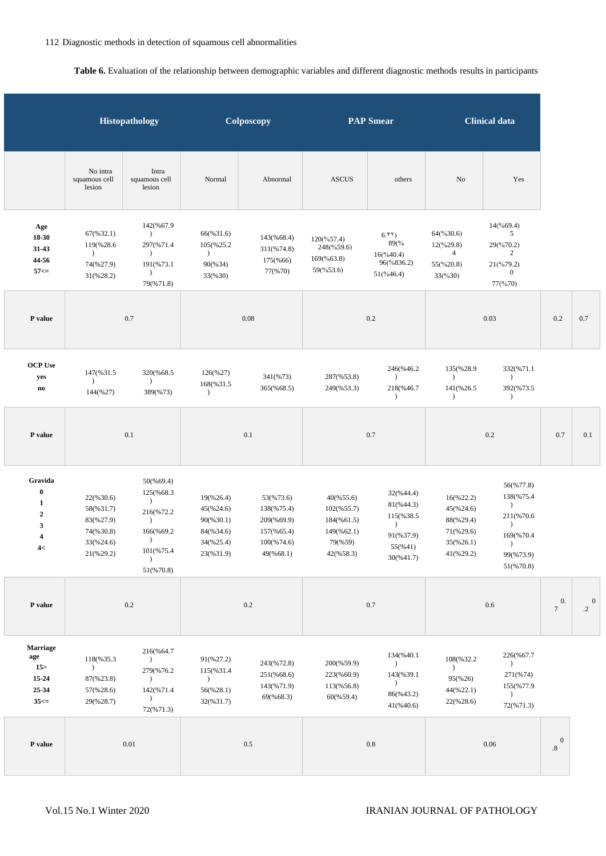## **Table 6.** Evaluation of the relationship between demographic variables and different diagnostic methods results in participants

|                                                                                                                  |                                                                            | Histopathology                                                                                                                  |                                                                                       | Colposcopy                                                                        | <b>PAP Smear</b>                                                                       |                                                                                        |                                                                                       | <b>Clinical data</b>                                                                                                  |                                   |           |
|------------------------------------------------------------------------------------------------------------------|----------------------------------------------------------------------------|---------------------------------------------------------------------------------------------------------------------------------|---------------------------------------------------------------------------------------|-----------------------------------------------------------------------------------|----------------------------------------------------------------------------------------|----------------------------------------------------------------------------------------|---------------------------------------------------------------------------------------|-----------------------------------------------------------------------------------------------------------------------|-----------------------------------|-----------|
|                                                                                                                  | No intra<br>squamous cell<br>lesion                                        | Intra<br>squamous cell<br>lesion                                                                                                | Normal                                                                                | Abnormal                                                                          | <b>ASCUS</b>                                                                           | others                                                                                 | No                                                                                    | Yes                                                                                                                   |                                   |           |
| Age<br>$18-30$<br>31-43<br>44-56<br>$57 ==$                                                                      | 67(%32.1)<br>119(%28.6)<br>$\lambda$<br>74(%27.9)<br>31(%28.2)             | 142(%67.9<br>$\lambda$<br>297(%71.4<br>$\rightarrow$<br>191(%73.1<br>$\lambda$<br>79(%71.8)                                     | 66(%31.6)<br>105(%25.2<br>$\lambda$<br>90(%34)<br>33(%30)                             | 143(%68.4)<br>311(%74.8)<br>175(%66)<br>77(%70)                                   | $120(^{96}57.4)$<br>248(%59.6)<br>169(%63.8)<br>59(%53.6)                              | 6.51<br>89(%<br>$16(\frac{9}{40.4})$<br>96(%836.2)<br>$51(\frac{9}{46.4})$             | $64$ (%30.6)<br>$12(^{96}29.8)$<br>$\overline{4}$<br>55(%20.8)<br>33(%30)             | $14(^{9669.4})$<br>5<br>29(%70.2)<br>2<br>21(%79.2)<br>$\boldsymbol{0}$<br>77(%70)                                    |                                   |           |
| P value                                                                                                          |                                                                            | 0.7                                                                                                                             | 0.08                                                                                  |                                                                                   | 0.2                                                                                    |                                                                                        | 0.03                                                                                  |                                                                                                                       | 0.2                               | $0.7\,$   |
| <b>OCP Use</b><br>yes<br>$\bf {no}$                                                                              | 147(%31.5)<br>$\lambda$<br>144(%27)                                        | 320(%68.5<br>$\lambda$<br>389(%73)                                                                                              | 126(%27)<br>168(%31.5<br>$\lambda$                                                    | 341(%73)<br>365(%68.5)                                                            | 287(%53.8)<br>249(%53.3)                                                               | 246(%46.2<br>$\lambda$<br>218(%46.7<br>$\lambda$                                       | 135(%28.9)<br>$\lambda$<br>141(%26.5<br>$\lambda$                                     | 332(%71.1<br>$\lambda$<br>392(%73.5<br>$\lambda$                                                                      |                                   |           |
| P value                                                                                                          |                                                                            | 0.1                                                                                                                             |                                                                                       | 0.1                                                                               |                                                                                        | 0.7                                                                                    |                                                                                       | $0.2\,$                                                                                                               | 0.7                               | 0.1       |
| Gravida<br>$\boldsymbol{0}$<br>$\mathbf{1}$<br>$\boldsymbol{2}$<br>$\mathbf{3}$<br>$\overline{\mathbf{4}}$<br>4< | 22(%30.6)<br>58(%31.7)<br>83(%27.9)<br>74(%30.8)<br>33(%24.6)<br>21(%29.2) | 50(%69.4)<br>125(%68.3<br>$\lambda$<br>216(%72.2<br>$\lambda$<br>166(%69.2<br>$\lambda$<br>101(%75.4)<br>$\lambda$<br>51(%70.8) | 19(%26.4)<br>45(%24.6)<br>$90(\frac{6}{30.1})$<br>84(%34.6)<br>34(%25.4)<br>23(%31.9) | 53(%73.6)<br>138(%75.4)<br>209(%69.9)<br>157(%65.4)<br>$100(\%74.6)$<br>49(%68.1) | 40(%55.6)<br>$102(\frac{655.7}{)}$<br>184(%61.5)<br>149(%62.1)<br>79(%59)<br>42(%58.3) | 32(%44.4)<br>81(%44.3)<br>115(%38.5)<br>$\lambda$<br>91(%37.9)<br>55(%41)<br>30(%41.7) | 16(%22.2)<br>45(%24.6)<br>88(%29.4)<br>71(%29.6)<br>$35(\frac{6}{26.1})$<br>41(%29.2) | 56(%77.8)<br>138(%75.4<br>$\mathcal{L}$<br>211(%70.6<br>$\lambda$<br>169(%70.4<br>$\lambda$<br>99(%73.9)<br>51(%70.8) |                                   |           |
| ${\bf P}$ value                                                                                                  |                                                                            | $0.2\,$                                                                                                                         |                                                                                       | $0.2\,$                                                                           |                                                                                        | 0.7                                                                                    |                                                                                       | $0.6\,$                                                                                                               | $\mathbf{0}$ .<br>$\tau$          | $\cdot$ 2 |
| <b>Marriage</b><br>age<br>15 <sub>2</sub><br>15-24<br>25-34<br>$35 ==$                                           | 118(%35.3<br>$\mathcal{E}$<br>87(%23.8)<br>57(%28.6)<br>29(%28.7)          | 216(%64.7<br>$\lambda$<br>279(%76.2<br>$\lambda$<br>142(%71.4<br>$\lambda$<br>72(%71.3)                                         | 91(%27.2)<br>115(%31.4)<br>$\rightarrow$<br>56(%28.1)<br>32(%31.7)                    | 243(%72.8)<br>251(%68.6)<br>143(%71.9)<br>69(%68.3)                               | 200(%59.9)<br>223(%60.9)<br>113(%56.8)<br>60(%59.4)                                    | 134(%40.1<br>$\lambda$<br>143(%39.1<br>$\mathcal{L}$<br>86(%43.2)<br>41(%40.6)         | 108(%32.2<br>$\lambda$<br>95(%26)<br>44(%22.1)<br>22(%28.6)                           | 226(%67.7<br>$\lambda$<br>271(%74)<br>155(%77.9<br>$\lambda$<br>72(%71.3)                                             |                                   |           |
| P value                                                                                                          |                                                                            | $0.01\,$                                                                                                                        |                                                                                       | $0.5\,$                                                                           |                                                                                        | 0.8                                                                                    |                                                                                       | 0.06                                                                                                                  | $\mathbf{0}$<br>$\boldsymbol{.8}$ |           |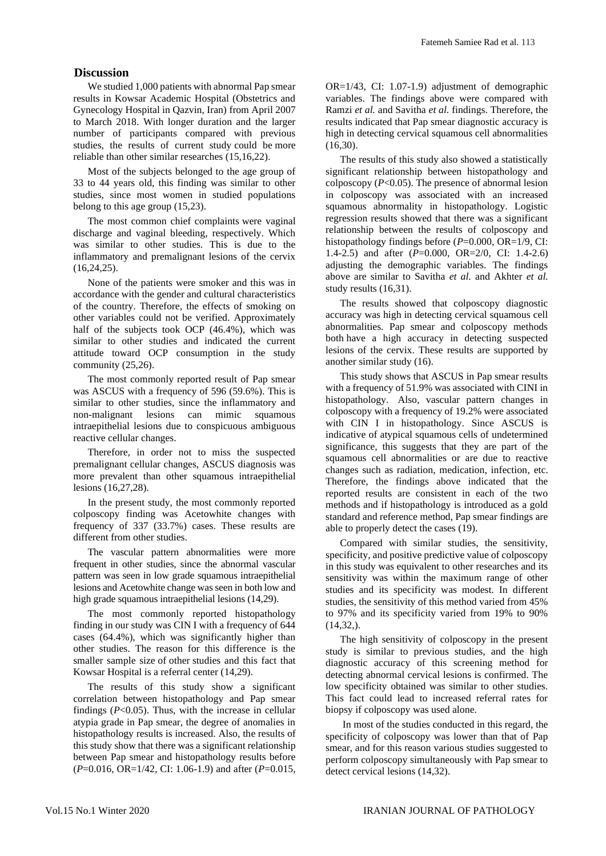## **Discussion**

We studied 1,000 patients with abnormal Pap smear results in Kowsar Academic Hospital (Obstetrics and Gynecology Hospital in Qazvin, Iran) from April 2007 to March 2018. With longer duration and the larger number of participants compared with previous studies, the results of current study could be more reliable than other similar researches (15,16,22).

Most of the subjects belonged to the age group of 33 to 44 years old, this finding was similar to other studies, since most women in studied populations belong to this age group (15,23).

The most common chief complaints were vaginal discharge and vaginal bleeding, respectively. Which was similar to other studies. This is due to the inflammatory and premalignant lesions of the cervix (16,24,25).

None of the patients were smoker and this was in accordance with the gender and cultural characteristics of the country. Therefore, the effects of smoking on other variables could not be verified. Approximately half of the subjects took OCP (46.4%), which was similar to other studies and indicated the current attitude toward OCP consumption in the study community (25,26).

The most commonly reported result of Pap smear was ASCUS with a frequency of 596 (59.6%). This is similar to other studies, since the inflammatory and non-malignant lesions can mimic squamous intraepithelial lesions due to conspicuous ambiguous reactive cellular changes.

Therefore, in order not to miss the suspected premalignant cellular changes, ASCUS diagnosis was more prevalent than other squamous intraepithelial lesions (16,27,28).

In the present study, the most commonly reported colposcopy finding was Acetowhite changes with frequency of 337 (33.7%) cases. These results are different from other studies.

The vascular pattern abnormalities were more frequent in other studies, since the abnormal vascular pattern was seen in low grade squamous intraepithelial lesions and Acetowhite change was seen in both low and high grade squamous intraepithelial lesions (14,29).

The most commonly reported histopathology finding in our study was CIN I with a frequency of 644 cases (64.4%), which was significantly higher than other studies. The reason for this difference is the smaller sample size of other studies and this fact that Kowsar Hospital is a referral center (14,29).

The results of this study show a significant correlation between histopathology and Pap smear findings (*P*<0.05). Thus, with the increase in cellular atypia grade in Pap smear, the degree of anomalies in histopathology results is increased. Also, the results of this study show that there was a significant relationship between Pap smear and histopathology results before (*P*=0.016, OR=1/42, CI: 1.06-1.9) and after (*P*=0.015,

OR=1/43, CI: 1.07-1.9) adjustment of demographic variables. The findings above were compared with Ramzi *et al.* and Savitha *et al.* findings. Therefore, the results indicated that Pap smear diagnostic accuracy is high in detecting cervical squamous cell abnormalities (16,30).

The results of this study also showed a statistically significant relationship between histopathology and colposcopy (*P*<0.05). The presence of abnormal lesion in colposcopy was associated with an increased squamous abnormality in histopathology. Logistic regression results showed that there was a significant relationship between the results of colposcopy and histopathology findings before ( $P=0.000$ , OR=1/9, CI: 1.4-2.5) and after (*P*=0.000, OR=2/0, CI: 1.4-2.6) adjusting the demographic variables. The findings above are similar to Savitha *et al.* and Akhter *et al.* study results (16,31).

The results showed that colposcopy diagnostic accuracy was high in detecting cervical squamous cell abnormalities. Pap smear and colposcopy methods both have a high accuracy in detecting suspected lesions of the cervix. These results are supported by another similar study (16).

This study shows that ASCUS in Pap smear results with a frequency of 51.9% was associated with CINI in histopathology. Also, vascular pattern changes in colposcopy with a frequency of 19.2% were associated with CIN I in histopathology. Since ASCUS is indicative of atypical squamous cells of undetermined significance, this suggests that they are part of the squamous cell abnormalities or are due to reactive changes such as radiation, medication, infection, etc. Therefore, the findings above indicated that the reported results are consistent in each of the two methods and if histopathology is introduced as a gold standard and reference method, Pap smear findings are able to properly detect the cases (19).

Compared with similar studies, the sensitivity, specificity, and positive predictive value of colposcopy in this study was equivalent to other researches and its sensitivity was within the maximum range of other studies and its specificity was modest. In different studies, the sensitivity of this method varied from 45% to 97% and its specificity varied from 19% to 90% (14,32,).

The high sensitivity of colposcopy in the present study is similar to previous studies, and the high diagnostic accuracy of this screening method for detecting abnormal cervical lesions is confirmed. The low specificity obtained was similar to other studies. This fact could lead to increased referral rates for biopsy if colposcopy was used alone.

In most of the studies conducted in this regard, the specificity of colposcopy was lower than that of Pap smear, and for this reason various studies suggested to perform colposcopy simultaneously with Pap smear to detect cervical lesions (14,32).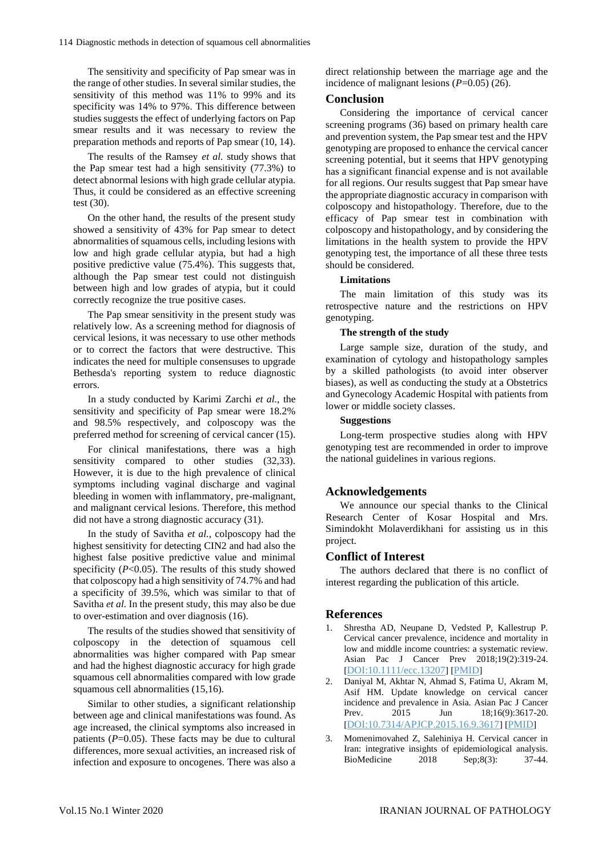The sensitivity and specificity of Pap smear was in the range of other studies. In several similar studies, the sensitivity of this method was 11% to 99% and its specificity was 14% to 97%. This difference between studies suggests the effect of underlying factors on Pap smear results and it was necessary to review the preparation methods and reports of Pap smear (10, 14).

The results of the Ramsey *et al.* study shows that the Pap smear test had a high sensitivity (77.3%) to detect abnormal lesions with high grade cellular atypia. Thus, it could be considered as an effective screening test (30).

On the other hand, the results of the present study showed a sensitivity of 43% for Pap smear to detect abnormalities of squamous cells, including lesions with low and high grade cellular atypia, but had a high positive predictive value (75.4%). This suggests that, although the Pap smear test could not distinguish between high and low grades of atypia, but it could correctly recognize the true positive cases.

The Pap smear sensitivity in the present study was relatively low. As a screening method for diagnosis of cervical lesions, it was necessary to use other methods or to correct the factors that were destructive. This indicates the need for multiple consensuses to upgrade Bethesda's reporting system to reduce diagnostic errors.

In a study conducted by Karimi Zarchi *et al.*, the sensitivity and specificity of Pap smear were 18.2% and 98.5% respectively, and colposcopy was the preferred method for screening of cervical cancer (15).

For clinical manifestations, there was a high sensitivity compared to other studies (32,33). However, it is due to the high prevalence of clinical symptoms including vaginal discharge and vaginal bleeding in women with inflammatory, pre-malignant, and malignant cervical lesions. Therefore, this method did not have a strong diagnostic accuracy (31).

In the study of Savitha *et al.*, colposcopy had the highest sensitivity for detecting CIN2 and had also the highest false positive predictive value and minimal specificity (*P*<0.05). The results of this study showed that colposcopy had a high sensitivity of 74.7% and had a specificity of 39.5%, which was similar to that of Savitha *et al.* In the present study, this may also be due to over-estimation and over diagnosis (16).

The results of the studies showed that sensitivity of colposcopy in the detection of squamous cell abnormalities was higher compared with Pap smear and had the highest diagnostic accuracy for high grade squamous cell abnormalities compared with low grade squamous cell abnormalities (15,16).

Similar to other studies, a significant relationship between age and clinical manifestations was found. As age increased, the clinical symptoms also increased in patients  $(P=0.05)$ . These facts may be due to cultural differences, more sexual activities, an increased risk of infection and exposure to oncogenes. There was also a

direct relationship between the marriage age and the incidence of malignant lesions (*P*=0.05) (26).

#### **Conclusion**

Considering the importance of cervical cancer screening programs (36) based on primary health care and prevention system, the Pap smear test and the HPV genotyping are proposed to enhance the cervical cancer screening potential, but it seems that HPV genotyping has a significant financial expense and is not available for all regions. Our results suggest that Pap smear have the appropriate diagnostic accuracy in comparison with colposcopy and histopathology. Therefore, due to the efficacy of Pap smear test in combination with colposcopy and histopathology, and by considering the limitations in the health system to provide the HPV genotyping test, the importance of all these three tests should be considered.

#### **Limitations**

The main limitation of this study was its retrospective nature and the restrictions on HPV genotyping.

#### **The strength of the study**

Large sample size, duration of the study, and examination of cytology and histopathology samples by a skilled pathologists (to avoid inter observer biases), as well as conducting the study at a Obstetrics and Gynecology Academic Hospital with patients from lower or middle society classes.

### **Suggestions**

Long-term prospective studies along with HPV genotyping test are recommended in order to improve the national guidelines in various regions.

#### **Acknowledgements**

We announce our special thanks to the Clinical Research Center of Kosar Hospital and Mrs. Simindokht Molaverdikhani for assisting us in this project.

#### **Conflict of Interest**

The authors declared that there is no conflict of interest regarding the publication of this article.

#### **References**

- 1. Shrestha AD, Neupane D, Vedsted P, Kallestrup P. Cervical cancer prevalence, incidence and mortality in low and middle income countries: a systematic review. Asian Pac J Cancer Prev 2018;19(2):319-24. [[DOI:10.1111/ecc.13207](https://doi.org/10.1111/ecc.13207)] [[PMID](https://www.ncbi.nlm.nih.gov/pubmed/31820851)]
- 2. Daniyal M, Akhtar N, Ahmad S, Fatima U, Akram M, Asif HM. Update knowledge on cervical cancer incidence and prevalence in Asia. Asian Pac J Cancer Prev. 2015 Jun 18;16(9):3617-20. [[DOI:10.7314/APJCP.2015.16.9.3617](https://doi.org/10.7314/APJCP.2015.16.9.3617)] [[PMID](https://www.ncbi.nlm.nih.gov/pubmed/25987011)]
- 3. Momenimovahed Z, Salehiniya H. Cervical cancer in Iran: integrative insights of epidemiological analysis. BioMedicine 2018 Sep;8(3): 37-44.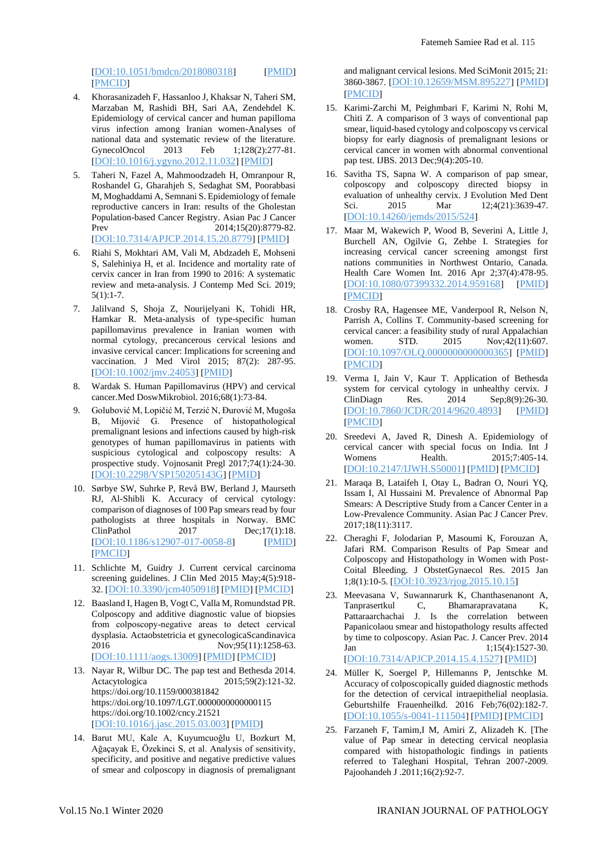[[DOI:10.1051/bmdcn/2018080318](https://doi.org/10.1051/bmdcn/2018080318)] [[PMID](https://www.ncbi.nlm.nih.gov/pubmed/30141405)] [[PMCID](http://www.ncbi.nlm.nih.gov/pmc/articles/PMC6108227)]

- 4. Khorasanizadeh F, Hassanloo J, Khaksar N, Taheri SM, Marzaban M, Rashidi BH, Sari AA, Zendehdel K. Epidemiology of cervical cancer and human papilloma virus infection among Iranian women-Analyses of national data and systematic review of the literature.<br>GynecolOncol 2013 Feb 1;128(2):277-81. GynecolOncol 2013 Feb 1;128(2):277-81. [[DOI:10.1016/j.ygyno.2012.11.032](https://doi.org/10.1016/j.ygyno.2012.11.032)] [[PMID](https://www.ncbi.nlm.nih.gov/pubmed/23200918)]
- 5. Taheri N, Fazel A, Mahmoodzadeh H, Omranpour R, Roshandel G, Gharahjeh S, Sedaghat SM, Poorabbasi M, Moghaddami A, Semnani S. Epidemiology of female reproductive cancers in Iran: results of the Gholestan Population-based Cancer Registry. Asian Pac J Cancer Prev 2014;15(20):8779-82. [[DOI:10.7314/APJCP.2014.15.20.8779](https://doi.org/10.7314/APJCP.2014.15.20.8779)] [[PMID](https://www.ncbi.nlm.nih.gov/pubmed/25374206)]
- 6. Riahi S, Mokhtari AM, Vali M, Abdzadeh E, Mohseni S, Salehiniya H, et al. Incidence and mortality rate of cervix cancer in Iran from 1990 to 2016: A systematic review and meta-analysis. J Contemp Med Sci. 2019;  $5(1):1-7.$
- 7. Jalilvand S, Shoja Z, Nourijelyani K, Tohidi HR, Hamkar R. Meta-analysis of type-specific human papillomavirus prevalence in Iranian women with normal cytology, precancerous cervical lesions and invasive cervical cancer: Implications for screening and vaccination. J Med Virol 2015; 87(2): 287-95. [[DOI:10.1002/jmv.24053](https://doi.org/10.1002/jmv.24053)] [[PMID](https://www.ncbi.nlm.nih.gov/pubmed/25156655)]
- 8. Wardak S. Human Papillomavirus (HPV) and cervical cancer.Med DoswMikrobiol. 2016;68(1):73-84.
- 9. Golubović M, Lopičić M, Terzić N, Đurović M, Mugoša B, Mijović G. Presence of histopathological premalignant lesions and infections caused by high-risk genotypes of human papillomavirus in patients with suspicious cytological and colposcopy results: A prospective study. Vojnosanit Pregl 2017;74(1):24-30. [[DOI:10.2298/VSP150205143G](https://doi.org/10.2298/VSP150205143G)] [[PMID](https://www.ncbi.nlm.nih.gov/pubmed/29350503)]
- 10. Sørbye SW, Suhrke P, Revå BW, Berland J, Maurseth RJ, Al-Shibli K. Accuracy of cervical cytology: comparison of diagnoses of 100 Pap smears read by four pathologists at three hospitals in Norway. BMC ClinPathol 2017 Dec;17(1):18. [[DOI:10.1186/s12907-017-0058-8](https://doi.org/10.1186/s12907-017-0058-8)] [[PMID](https://www.ncbi.nlm.nih.gov/pubmed/28860942)] [[PMCID](http://www.ncbi.nlm.nih.gov/pmc/articles/PMC5576325)]
- 11. Schlichte M, Guidry J. Current cervical carcinoma screening guidelines. J Clin Med 2015 May;4(5):918- 32. [[DOI:10.3390/jcm4050918](https://doi.org/10.3390/jcm4050918)] [[PMID](https://www.ncbi.nlm.nih.gov/pubmed/26239455)] [[PMCID](http://www.ncbi.nlm.nih.gov/pmc/articles/PMC4470206)]
- 12. Baasland I, Hagen B, Vogt C, Valla M, Romundstad PR. Colposcopy and additive diagnostic value of biopsies from colposcopy-negative areas to detect cervical dysplasia. Actaobstetricia et gynecologicaScandinavica 2016 Nov;95(11):1258-63. [[DOI:10.1111/aogs.13009](https://doi.org/10.1111/aogs.13009)] [[PMID](https://www.ncbi.nlm.nih.gov/pubmed/27564523)] [[PMCID](http://www.ncbi.nlm.nih.gov/pmc/articles/PMC5129518)]
- 13. Nayar R, Wilbur DC. The pap test and Bethesda 2014. Actacytologica 2015;59(2):121-32. https://doi.org/10.1159/000381842 https://doi.org/10.1097/LGT.0000000000000115 https://doi.org/10.1002/cncy.21521 [[DOI:10.1016/j.jasc.2015.03.003](https://doi.org/10.1016/j.jasc.2015.03.003)] [[PMID](https://www.ncbi.nlm.nih.gov/pubmed/25931431)]
- 14. Barut MU, Kale A, Kuyumcuoğlu U, Bozkurt M, Ağaçayak E, Özekinci S, et al. Analysis of sensitivity, specificity, and positive and negative predictive values of smear and colposcopy in diagnosis of premalignant

and malignant cervical lesions. Med SciMonit 2015; 21: 3860-3867. [[DOI:10.12659/MSM.895227](https://doi.org/10.12659/MSM.895227)] [[PMID](https://www.ncbi.nlm.nih.gov/pubmed/26655816)] [[PMCID](http://www.ncbi.nlm.nih.gov/pmc/articles/PMC4678924)]

- 15. Karimi-Zarchi M, Peighmbari F, Karimi N, Rohi M, Chiti Z. A comparison of 3 ways of conventional pap smear, liquid-based cytology and colposcopy vs cervical biopsy for early diagnosis of premalignant lesions or cervical cancer in women with abnormal conventional pap test. IJBS. 2013 Dec;9(4):205-10.
- 16. Savitha TS, Sapna W. A comparison of pap smear, colposcopy and colposcopy directed biopsy in evaluation of unhealthy cervix. J Evolution Med Dent<br>Sci. 2015 Mar 12;4(21):3639-47. 12;4(21):3639-47. [[DOI:10.14260/jemds/2015/524](https://doi.org/10.14260/jemds/2015/524)]
- 17. Maar M, Wakewich P, Wood B, Severini A, Little J, Burchell AN, Ogilvie G, Zehbe I. Strategies for increasing cervical cancer screening amongst first nations communities in Northwest Ontario, Canada. Health Care Women Int. 2016 Apr 2;37(4):478-95. [[DOI:10.1080/07399332.2014.959168](https://doi.org/10.1080/07399332.2014.959168)] [[PMID](https://www.ncbi.nlm.nih.gov/pubmed/25375661)] [[PMCID](http://www.ncbi.nlm.nih.gov/pmc/articles/PMC4798779)]
- 18. Crosby RA, Hagensee ME, Vanderpool R, Nelson N, Parrish A, Collins T. Community-based screening for cervical cancer: a feasibility study of rural Appalachian women. STD. 2015 Nov;42(11):607. [[DOI:10.1097/OLQ.0000000000000365](https://doi.org/10.1097/OLQ.0000000000000365)] [[PMID](https://www.ncbi.nlm.nih.gov/pubmed/26462184)] [[PMCID](http://www.ncbi.nlm.nih.gov/pmc/articles/PMC4608378)]
- 19. Verma I, Jain V, Kaur T. Application of Bethesda system for cervical cytology in unhealthy cervix. J<br>ClinDiagn Res. 2014 Sep;8(9):26-30. ClinDiagn Res. 2014 Sep;8(9):26-30. [[DOI:10.7860/JCDR/2014/9620.4893](https://doi.org/10.7860/JCDR/2014/9620.4893)] [[PMID](https://www.ncbi.nlm.nih.gov/pubmed/25386491)] [[PMCID](http://www.ncbi.nlm.nih.gov/pmc/articles/PMC4225943)]
- 20. Sreedevi A, Javed R, Dinesh A. Epidemiology of cervical cancer with special focus on India. Int J Womens Health. 2015;7:405-14. [[DOI:10.2147/IJWH.S50001](https://doi.org/10.2147/IJWH.S50001)] [[PMID](https://www.ncbi.nlm.nih.gov/pubmed/25931830)] [[PMCID](http://www.ncbi.nlm.nih.gov/pmc/articles/PMC4404964)]
- 21. Maraqa B, Lataifeh I, Otay L, Badran O, Nouri YQ, Issam I, Al Hussaini M. Prevalence of Abnormal Pap Smears: A Descriptive Study from a Cancer Center in a Low-Prevalence Community. Asian Pac J Cancer Prev. 2017;18(11):3117.
- 22. Cheraghi F, Jolodarian P, Masoumi K, Forouzan A, Jafari RM. Comparison Results of Pap Smear and Colposcopy and Histopathology in Women with Post-Coital Bleeding. J ObstetGynaecol Res. 2015 Jan 1;8(1):10-5. [[DOI:10.3923/rjog.2015.10.15](https://doi.org/10.3923/rjog.2015.10.15)]
- 23. Meevasana V, Suwannarurk K, Chanthasenanont A, Tanprasertkul C, Bhamarapravatana K, Pattaraarchachai J. Is the correlation between Papanicolaou smear and histopathology results affected by time to colposcopy. Asian Pac. J. Cancer Prev. 2014 Jan  $1;15(4):1527-30.$ [[DOI:10.7314/APJCP.2014.15.4.1527](https://doi.org/10.7314/APJCP.2014.15.4.1527)] [[PMID](https://www.ncbi.nlm.nih.gov/pubmed/24641362)]
- 24. Müller K, Soergel P, Hillemanns P, Jentschke M. Accuracy of colposcopically guided diagnostic methods for the detection of cervical intraepithelial neoplasia. Geburtshilfe Frauenheilkd. 2016 Feb;76(02):182-7. [[DOI:10.1055/s-0041-111504](https://doi.org/10.1055/s-0041-111504)] [[PMID](https://www.ncbi.nlm.nih.gov/pubmed/26941452)] [[PMCID](http://www.ncbi.nlm.nih.gov/pmc/articles/PMC4771495)]
- 25. Farzaneh F, Tamim,I M, Amiri Z, Alizadeh K. [The value of Pap smear in detecting cervical neoplasia compared with histopathologic findings in patients referred to Taleghani Hospital, Tehran 2007-2009. Pajoohandeh J .2011;16(2):92-7.